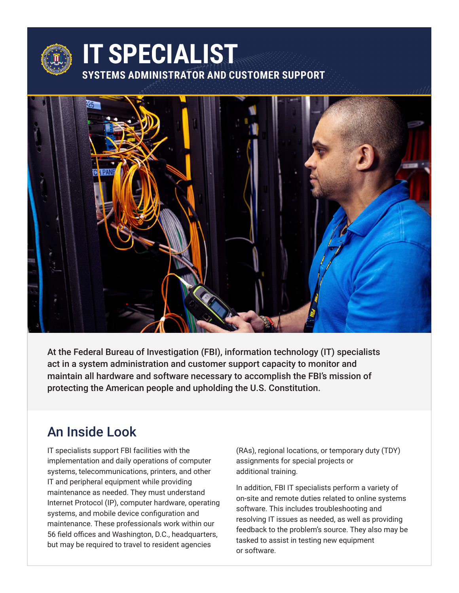

At the Federal Bureau of Investigation (FBI), information technology (IT) specialists act in a system administration and customer support capacity to monitor and maintain all hardware and software necessary to accomplish the FBI's mission of protecting the American people and upholding the U.S. Constitution.

#### An Inside Look

IT specialists support FBI facilities with the implementation and daily operations of computer systems, telecommunications, printers, and other IT and peripheral equipment while providing maintenance as needed. They must understand Internet Protocol (IP), computer hardware, operating systems, and mobile device configuration and maintenance. These professionals work within our 56 field offices and Washington, D.C., headquarters, but may be required to travel to resident agencies

(RAs), regional locations, or temporary duty (TDY) assignments for special projects or additional training.

In addition, FBI IT specialists perform a variety of on-site and remote duties related to online systems software. This includes troubleshooting and resolving IT issues as needed, as well as providing feedback to the problem's source. They also may be tasked to assist in testing new equipment or software.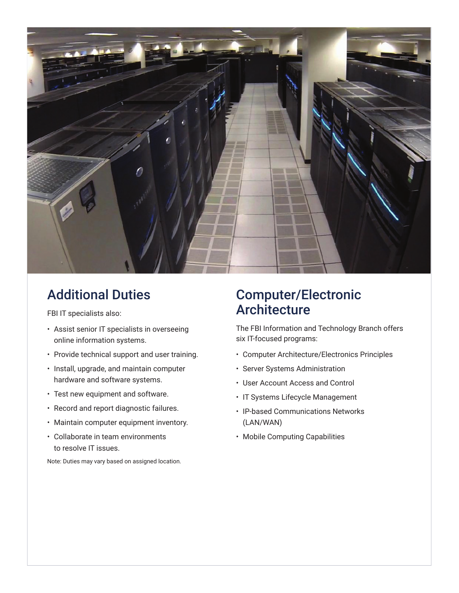

## Additional Duties

FBI IT specialists also:

- Assist senior IT specialists in overseeing online information systems.
- Provide technical support and user training.
- Install, upgrade, and maintain computer hardware and software systems.
- Test new equipment and software.
- Record and report diagnostic failures.
- Maintain computer equipment inventory.
- Collaborate in team environments to resolve IT issues.

Note: Duties may vary based on assigned location.

### Computer/Electronic Architecture

The FBI Information and Technology Branch offers six IT-focused programs:

- Computer Architecture/Electronics Principles
- Server Systems Administration
- User Account Access and Control
- IT Systems Lifecycle Management
- IP-based Communications Networks (LAN/WAN)
- Mobile Computing Capabilities